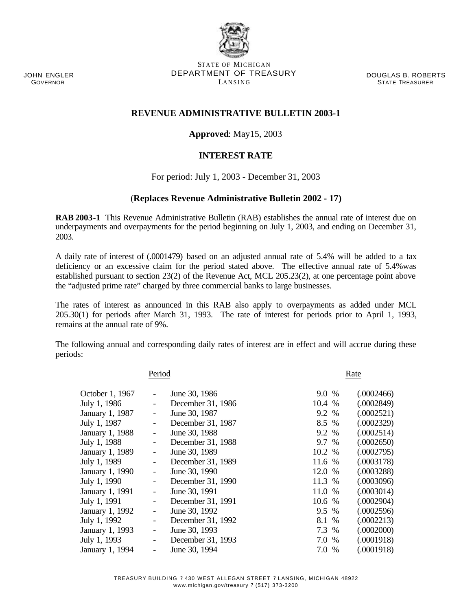JOHN ENGLER GOVERNOR

STATE OF MICHIGAN DEPARTMENT OF TREASURY LANSING

DOUGLAS B. ROBERTS STATE TREASURER

## **REVENUE ADMINISTRATIVE BULLETIN 2003-1**

## **Approved**: May15, 2003

## **INTEREST RATE**

For period: July 1, 2003 - December 31, 2003

## (**Replaces Revenue Administrative Bulletin 2002 - 17)**

**RAB 2003-1** This Revenue Administrative Bulletin (RAB) establishes the annual rate of interest due on underpayments and overpayments for the period beginning on July 1, 2003, and ending on December 31, 2003.

A daily rate of interest of (.0001479) based on an adjusted annual rate of 5.4% will be added to a tax deficiency or an excessive claim for the period stated above. The effective annual rate of 5.4%was established pursuant to section 23(2) of the Revenue Act, MCL 205.23(2), at one percentage point above the "adjusted prime rate" charged by three commercial banks to large businesses.

The rates of interest as announced in this RAB also apply to overpayments as added under MCL 205.30(1) for periods after March 31, 1993. The rate of interest for periods prior to April 1, 1993, remains at the annual rate of 9%.

The following annual and corresponding daily rates of interest are in effect and will accrue during these periods:

| Period          |                          |                   |        | Rate |            |  |  |
|-----------------|--------------------------|-------------------|--------|------|------------|--|--|
| October 1, 1967 | $\overline{\phantom{0}}$ | June 30, 1986     | 9.0 %  |      | (.0002466) |  |  |
| July 1, 1986    |                          | December 31, 1986 | 10.4 % |      | (.0002849) |  |  |
| January 1, 1987 |                          | June 30, 1987     | 9.2 %  |      | (.0002521) |  |  |
| July 1, 1987    |                          | December 31, 1987 | 8.5 %  |      | (.0002329) |  |  |
| January 1, 1988 |                          | June 30, 1988     | 9.2 %  |      | (.0002514) |  |  |
| July 1, 1988    | -                        | December 31, 1988 | 9.7 %  |      | (.0002650) |  |  |
| January 1, 1989 | -                        | June 30, 1989     | 10.2 % |      | (.0002795) |  |  |
| July 1, 1989    | -                        | December 31, 1989 | 11.6 % |      | (.0003178) |  |  |
| January 1, 1990 | $\overline{\phantom{0}}$ | June 30, 1990     | 12.0 % |      | (.0003288) |  |  |
| July 1, 1990    |                          | December 31, 1990 | 11.3 % |      | (.0003096) |  |  |
| January 1, 1991 | $\overline{\phantom{0}}$ | June 30, 1991     | 11.0 % |      | (.0003014) |  |  |
| July 1, 1991    |                          | December 31, 1991 | 10.6 % |      | (.0002904) |  |  |
| January 1, 1992 |                          | June 30, 1992     | 9.5 %  |      | (.0002596) |  |  |
| July 1, 1992    |                          | December 31, 1992 | 8.1 %  |      | (.0002213) |  |  |
| January 1, 1993 |                          | June 30, 1993     | 7.3 %  |      | (.0002000) |  |  |
| July 1, 1993    |                          | December 31, 1993 | 7.0 %  |      | (.0001918) |  |  |
| January 1, 1994 |                          | June 30, 1994     | 7.0 %  |      | (.0001918) |  |  |